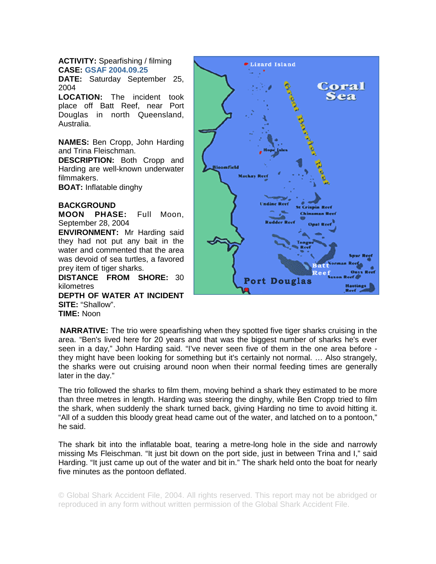## **ACTIVITY:** Spearfishing / filming **CASE: GSAF 2004.09.25**

**DATE:** Saturday September 25, 2004

**LOCATION:** The incident took place off Batt Reef, near Port Douglas in north Queensland, Australia.

**NAMES:** Ben Cropp, John Harding and Trina Fleischman.

**DESCRIPTION:** Both Cropp and Harding are well-known underwater filmmakers.

**BOAT:** Inflatable dinghy

## **BACKGROUND**

**MOON PHASE:** Full Moon, September 28, 2004

**ENVIRONMENT:** Mr Harding said they had not put any bait in the water and commented that the area was devoid of sea turtles, a favored prey item of tiger sharks.

**DISTANCE FROM SHORE:** 30 kilometres **DEPTH OF WATER AT INCIDENT SITE:** "Shallow". **TIME:** Noon



**NARRATIVE:** The trio were spearfishing when they spotted five tiger sharks cruising in the area. "Ben's lived here for 20 years and that was the biggest number of sharks he's ever seen in a day," John Harding said. "I've never seen five of them in the one area before they might have been looking for something but it's certainly not normal. … Also strangely, the sharks were out cruising around noon when their normal feeding times are generally later in the day."

The trio followed the sharks to film them, moving behind a shark they estimated to be more than three metres in length. Harding was steering the dinghy, while Ben Cropp tried to film the shark, when suddenly the shark turned back, giving Harding no time to avoid hitting it. "All of a sudden this bloody great head came out of the water, and latched on to a pontoon," he said.

The shark bit into the inflatable boat, tearing a metre-long hole in the side and narrowly missing Ms Fleischman. "It just bit down on the port side, just in between Trina and I," said Harding. "It just came up out of the water and bit in." The shark held onto the boat for nearly five minutes as the pontoon deflated.

© Global Shark Accident File, 2004. All rights reserved. This report may not be abridged or reproduced in any form without written permission of the Global Shark Accident File.